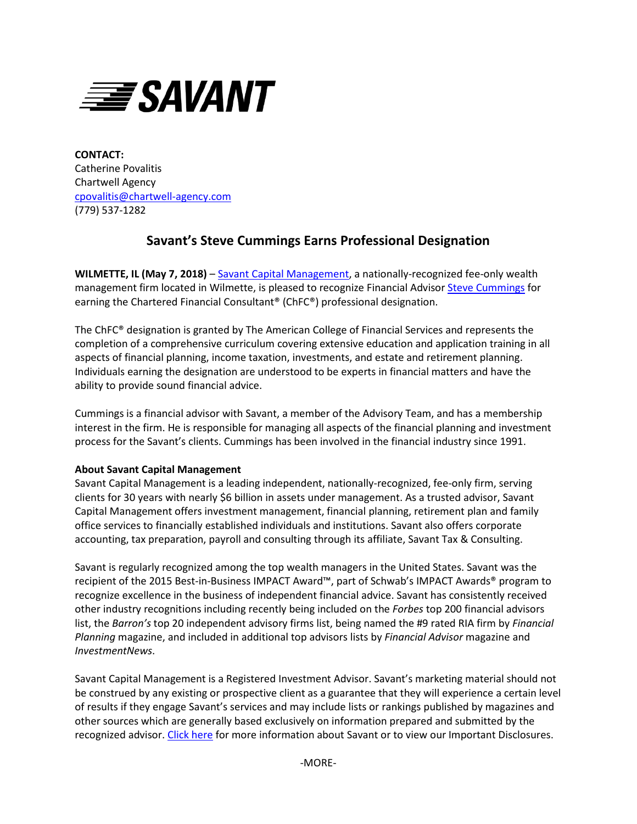

**CONTACT:** Catherine Povalitis Chartwell Agency [cpovalitis@chartwell-agency.com](mailto:cpovalitis@chartwell-agency.com) (779) 537-1282

## **Savant's Steve Cummings Earns Professional Designation**

**WILMETTE, IL (May 7, 2018)** – [Savant Capital Management,](http://www.savantcapital.com/) a nationally-recognized fee-only wealth management firm located in Wilmette, is pleased to recognize Financial Advisor [Steve Cummings](https://www.savantcapital.com/team-member/Stephen-D.-Cummings) for earning the Chartered Financial Consultant® (ChFC®) professional designation.

The ChFC® designation is granted by The American College of Financial Services and represents the completion of a comprehensive curriculum covering extensive education and application training in all aspects of financial planning, income taxation, investments, and estate and retirement planning. Individuals earning the designation are understood to be experts in financial matters and have the ability to provide sound financial advice.

Cummings is a financial advisor with Savant, a member of the Advisory Team, and has a membership interest in the firm. He is responsible for managing all aspects of the financial planning and investment process for the Savant's clients. Cummings has been involved in the financial industry since 1991.

## **About Savant Capital Management**

Savant Capital Management is a leading independent, nationally-recognized, fee-only firm, serving clients for 30 years with nearly \$6 billion in assets under management. As a trusted advisor, Savant Capital Management offers investment management, financial planning, retirement plan and family office services to financially established individuals and institutions. Savant also offers corporate accounting, tax preparation, payroll and consulting through its affiliate, Savant Tax & Consulting.

Savant is regularly recognized among the top wealth managers in the United States. Savant was the recipient of the 2015 Best-in-Business IMPACT Award™, part of Schwab's IMPACT Awards® program to recognize excellence in the business of independent financial advice. Savant has consistently received other industry recognitions including recently being included on the *Forbes* top 200 financial advisors list, the *Barron's* top 20 independent advisory firms list, being named the #9 rated RIA firm by *Financial Planning* magazine, and included in additional top advisors lists by *Financial Advisor* magazine and *InvestmentNews*.

Savant Capital Management is a Registered Investment Advisor. Savant's marketing material should not be construed by any existing or prospective client as a guarantee that they will experience a certain level of results if they engage Savant's services and may include lists or rankings published by magazines and other sources which are generally based exclusively on information prepared and submitted by the recognized advisor. [Click here](http://www.savantcapital.com/landing-pages/important-disclosures) for more information about Savant or to view our Important Disclosures.